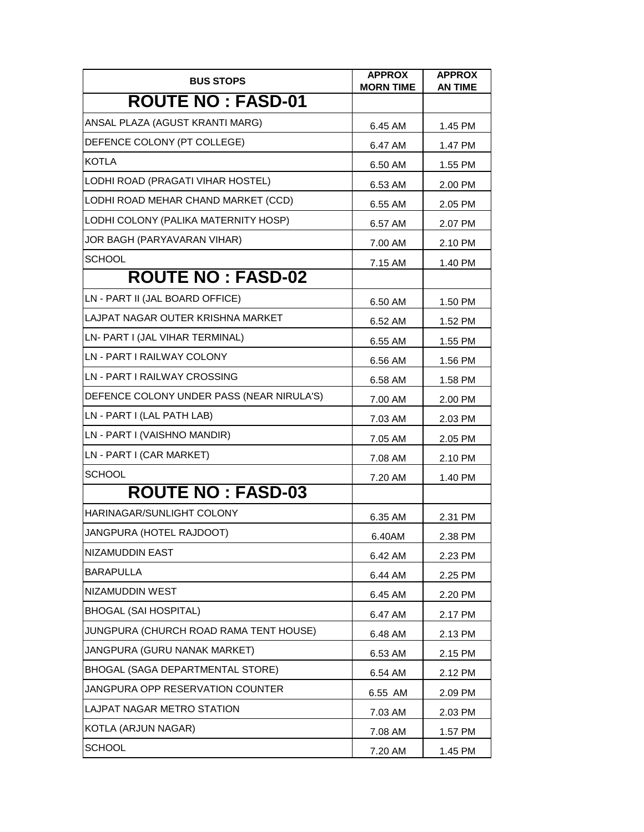| <b>BUS STOPS</b>                          | <b>APPROX</b><br><b>MORN TIME</b> | <b>APPROX</b><br><b>AN TIME</b> |
|-------------------------------------------|-----------------------------------|---------------------------------|
| <b>ROUTE NO: FASD-01</b>                  |                                   |                                 |
| ANSAL PLAZA (AGUST KRANTI MARG)           | 6.45 AM                           | 1.45 PM                         |
| DEFENCE COLONY (PT COLLEGE)               | 6.47 AM                           | 1.47 PM                         |
| <b>KOTLA</b>                              | 6.50 AM                           | 1.55 PM                         |
| LODHI ROAD (PRAGATI VIHAR HOSTEL)         | 6.53 AM                           | 2.00 PM                         |
| LODHI ROAD MEHAR CHAND MARKET (CCD)       | 6.55 AM                           | 2.05 PM                         |
| LODHI COLONY (PALIKA MATERNITY HOSP)      | 6.57 AM                           | 2.07 PM                         |
| JOR BAGH (PARYAVARAN VIHAR)               | 7.00 AM                           | 2.10 PM                         |
| <b>SCHOOL</b>                             | 7.15 AM                           | 1.40 PM                         |
| <b>ROUTE NO: FASD-02</b>                  |                                   |                                 |
| LN - PART II (JAL BOARD OFFICE)           | 6.50 AM                           | 1.50 PM                         |
| LAJPAT NAGAR OUTER KRISHNA MARKET         | 6.52 AM                           | 1.52 PM                         |
| LN- PART I (JAL VIHAR TERMINAL)           | 6.55 AM                           | 1.55 PM                         |
| LN - PART I RAILWAY COLONY                | 6.56 AM                           | 1.56 PM                         |
| LN - PART I RAILWAY CROSSING              | 6.58 AM                           | 1.58 PM                         |
| DEFENCE COLONY UNDER PASS (NEAR NIRULA'S) | 7.00 AM                           | 2.00 PM                         |
| LN - PART I (LAL PATH LAB)                | 7.03 AM                           | 2.03 PM                         |
| LN - PART I (VAISHNO MANDIR)              | 7.05 AM                           | 2.05 PM                         |
| LN - PART I (CAR MARKET)                  | 7.08 AM                           | 2.10 PM                         |
| <b>SCHOOL</b>                             | 7.20 AM                           | 1.40 PM                         |
| <b>ROUTE NO: FASD-03</b>                  |                                   |                                 |
| HARINAGAR/SUNLIGHT COLONY                 | 6.35 AM                           | 2.31 PM                         |
| JANGPURA (HOTEL RAJDOOT)                  | 6.40AM                            | 2.38 PM                         |
| NIZAMUDDIN EAST                           | 6.42 AM                           | 2.23 PM                         |
| <b>BARAPULLA</b>                          | 6.44 AM                           | 2.25 PM                         |
| NIZAMUDDIN WEST                           | 6.45 AM                           | 2.20 PM                         |
| <b>BHOGAL (SAI HOSPITAL)</b>              | 6.47 AM                           | 2.17 PM                         |
| JUNGPURA (CHURCH ROAD RAMA TENT HOUSE)    | 6.48 AM                           | 2.13 PM                         |
| JANGPURA (GURU NANAK MARKET)              | 6.53 AM                           | 2.15 PM                         |
| <b>BHOGAL (SAGA DEPARTMENTAL STORE)</b>   | 6.54 AM                           | 2.12 PM                         |
| JANGPURA OPP RESERVATION COUNTER          | 6.55 AM                           | 2.09 PM                         |
| LAJPAT NAGAR METRO STATION                | 7.03 AM                           | 2.03 PM                         |
| KOTLA (ARJUN NAGAR)                       | 7.08 AM                           | 1.57 PM                         |
| <b>SCHOOL</b>                             | 7.20 AM                           | 1.45 PM                         |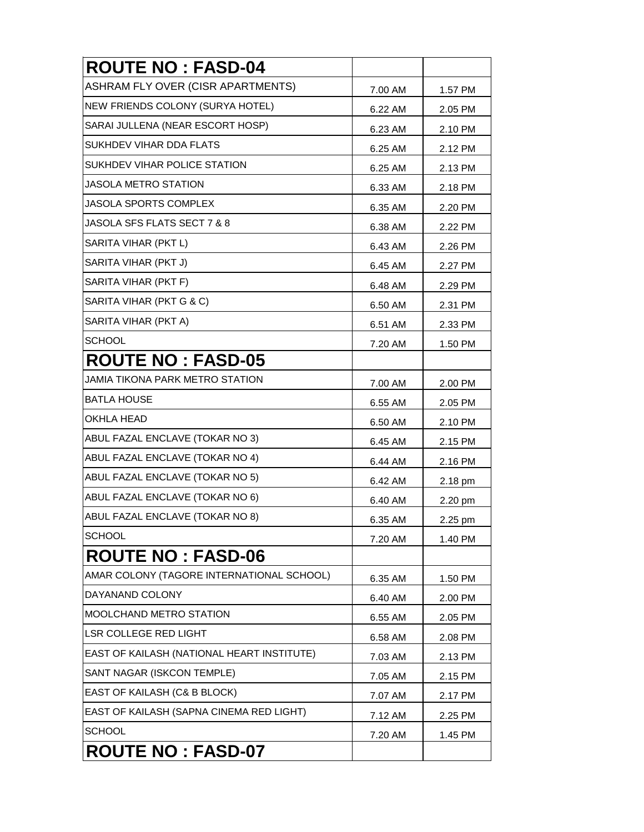| <b>ROUTE NO: FASD-04</b>                   |         |         |
|--------------------------------------------|---------|---------|
| ASHRAM FLY OVER (CISR APARTMENTS)          | 7.00 AM | 1.57 PM |
| NEW FRIENDS COLONY (SURYA HOTEL)           | 6.22 AM | 2.05 PM |
| SARAI JULLENA (NEAR ESCORT HOSP)           | 6.23 AM | 2.10 PM |
| SUKHDEV VIHAR DDA FLATS                    | 6.25 AM | 2.12 PM |
| SUKHDEV VIHAR POLICE STATION               | 6.25 AM | 2.13 PM |
| JASOLA METRO STATION                       | 6.33 AM | 2.18 PM |
| <b>JASOLA SPORTS COMPLEX</b>               | 6.35 AM | 2.20 PM |
| <b>JASOLA SFS FLATS SECT 7 &amp; 8</b>     | 6.38 AM | 2.22 PM |
| SARITA VIHAR (PKT L)                       | 6.43 AM | 2.26 PM |
| SARITA VIHAR (PKT J)                       | 6.45 AM | 2.27 PM |
| SARITA VIHAR (PKT F)                       | 6.48 AM | 2.29 PM |
| SARITA VIHAR (PKT G & C)                   | 6.50 AM | 2.31 PM |
| SARITA VIHAR (PKT A)                       | 6.51 AM | 2.33 PM |
| <b>SCHOOL</b>                              | 7.20 AM | 1.50 PM |
| <b>ROUTE NO: FASD-05</b>                   |         |         |
| JAMIA TIKONA PARK METRO STATION            | 7.00 AM | 2.00 PM |
| <b>BATLA HOUSE</b>                         | 6.55 AM | 2.05 PM |
| <b>OKHLA HEAD</b>                          | 6.50 AM | 2.10 PM |
| ABUL FAZAL ENCLAVE (TOKAR NO 3)            | 6.45 AM | 2.15 PM |
| ABUL FAZAL ENCLAVE (TOKAR NO 4)            | 6.44 AM | 2.16 PM |
| ABUL FAZAL ENCLAVE (TOKAR NO 5)            | 6.42 AM | 2.18 pm |
| ABUL FAZAL ENCLAVE (TOKAR NO 6)            | 6.40 AM | 2.20 pm |
| ABUL FAZAL ENCLAVE (TOKAR NO 8)            | 6.35 AM | 2.25 pm |
| <b>SCHOOL</b>                              | 7.20 AM | 1.40 PM |
| <b>ROUTE NO: FASD-06</b>                   |         |         |
| AMAR COLONY (TAGORE INTERNATIONAL SCHOOL)  | 6.35 AM | 1.50 PM |
| DAYANAND COLONY                            | 6.40 AM | 2.00 PM |
| <b>MOOLCHAND METRO STATION</b>             | 6.55 AM | 2.05 PM |
| <b>LSR COLLEGE RED LIGHT</b>               | 6.58 AM | 2.08 PM |
| EAST OF KAILASH (NATIONAL HEART INSTITUTE) | 7.03 AM | 2.13 PM |
| SANT NAGAR (ISKCON TEMPLE)                 | 7.05 AM | 2.15 PM |
| EAST OF KAILASH (C& B BLOCK)               | 7.07 AM | 2.17 PM |
| EAST OF KAILASH (SAPNA CINEMA RED LIGHT)   | 7.12 AM | 2.25 PM |
| <b>SCHOOL</b>                              | 7.20 AM | 1.45 PM |
| <b>ROUTE NO: FASD-07</b>                   |         |         |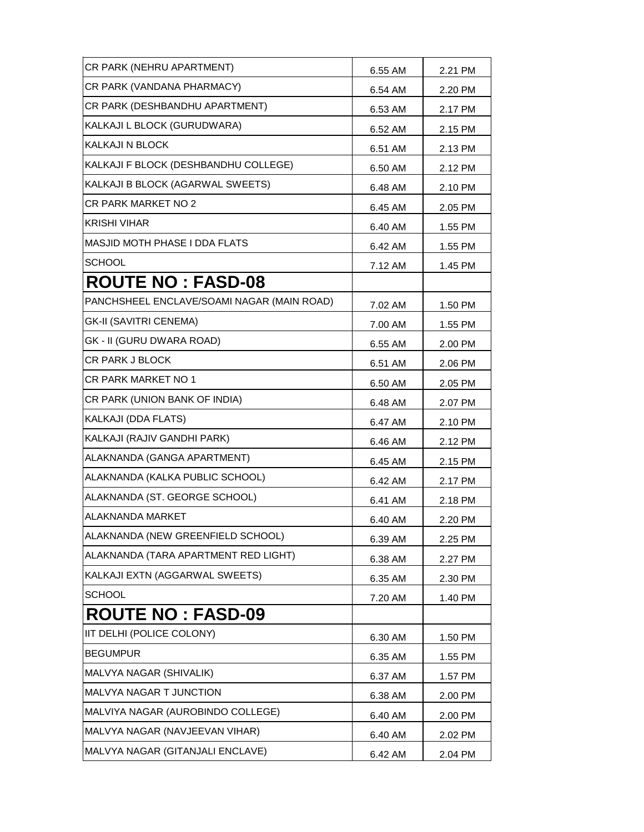| CR PARK (NEHRU APARTMENT)                  | 6.55 AM | 2.21 PM |
|--------------------------------------------|---------|---------|
| CR PARK (VANDANA PHARMACY)                 | 6.54 AM | 2.20 PM |
| CR PARK (DESHBANDHU APARTMENT)             | 6.53 AM | 2.17 PM |
| KALKAJI L BLOCK (GURUDWARA)                | 6.52 AM | 2.15 PM |
| KALKAJI N BLOCK                            | 6.51 AM | 2.13 PM |
| KALKAJI F BLOCK (DESHBANDHU COLLEGE)       | 6.50 AM | 2.12 PM |
| KALKAJI B BLOCK (AGARWAL SWEETS)           | 6.48 AM | 2.10 PM |
| CR PARK MARKET NO 2                        | 6.45 AM | 2.05 PM |
| <b>KRISHI VIHAR</b>                        | 6.40 AM | 1.55 PM |
| <b>MASJID MOTH PHASE I DDA FLATS</b>       | 6.42 AM | 1.55 PM |
| <b>SCHOOL</b>                              | 7.12 AM | 1.45 PM |
| <b>ROUTE NO: FASD-08</b>                   |         |         |
| PANCHSHEEL ENCLAVE/SOAMI NAGAR (MAIN ROAD) | 7.02 AM | 1.50 PM |
| <b>GK-II (SAVITRI CENEMA)</b>              | 7.00 AM | 1.55 PM |
| GK - II (GURU DWARA ROAD)                  | 6.55 AM | 2.00 PM |
| <b>CR PARK J BLOCK</b>                     | 6.51 AM | 2.06 PM |
| CR PARK MARKET NO 1                        | 6.50 AM | 2.05 PM |
| CR PARK (UNION BANK OF INDIA)              | 6.48 AM | 2.07 PM |
| KALKAJI (DDA FLATS)                        | 6.47 AM | 2.10 PM |
| KALKAJI (RAJIV GANDHI PARK)                | 6.46 AM | 2.12 PM |
| ALAKNANDA (GANGA APARTMENT)                | 6.45 AM | 2.15 PM |
| ALAKNANDA (KALKA PUBLIC SCHOOL)            | 6.42 AM | 2.17 PM |
| ALAKNANDA (ST. GEORGE SCHOOL)              | 6.41 AM | 2.18 PM |
| <b>ALAKNANDA MARKET</b>                    | 6.40 AM | 2.20 PM |
| ALAKNANDA (NEW GREENFIELD SCHOOL)          | 6.39 AM | 2.25 PM |
| ALAKNANDA (TARA APARTMENT RED LIGHT)       | 6.38 AM | 2.27 PM |
| KALKAJI EXTN (AGGARWAL SWEETS)             | 6.35 AM | 2.30 PM |
| <b>SCHOOL</b>                              | 7.20 AM | 1.40 PM |
| <b>ROUTE NO : FASD-09</b>                  |         |         |
| IIT DELHI (POLICE COLONY)                  | 6.30 AM | 1.50 PM |
| <b>BEGUMPUR</b>                            | 6.35 AM | 1.55 PM |
| MALVYA NAGAR (SHIVALIK)                    | 6.37 AM | 1.57 PM |
| MALVYA NAGAR T JUNCTION                    | 6.38 AM | 2.00 PM |
| MALVIYA NAGAR (AUROBINDO COLLEGE)          | 6.40 AM | 2.00 PM |
| MALVYA NAGAR (NAVJEEVAN VIHAR)             | 6.40 AM | 2.02 PM |
| MALVYA NAGAR (GITANJALI ENCLAVE)           | 6.42 AM | 2.04 PM |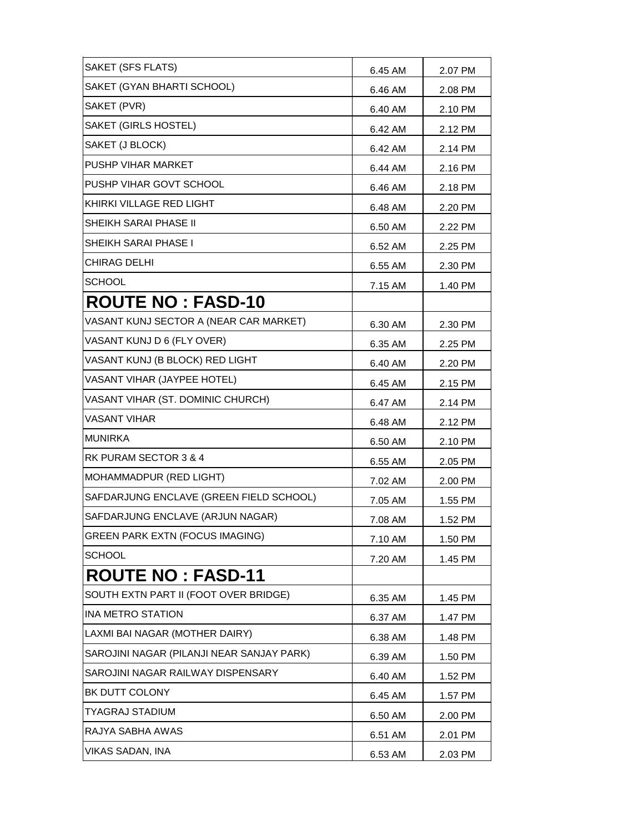| SAKET (SFS FLATS)                         | 6.45 AM | 2.07 PM |
|-------------------------------------------|---------|---------|
| SAKET (GYAN BHARTI SCHOOL)                | 6.46 AM | 2.08 PM |
| SAKET (PVR)                               | 6.40 AM | 2.10 PM |
| SAKET (GIRLS HOSTEL)                      | 6.42 AM | 2.12 PM |
| SAKET (J BLOCK)                           | 6.42 AM | 2.14 PM |
| <b>PUSHP VIHAR MARKET</b>                 | 6.44 AM | 2.16 PM |
| PUSHP VIHAR GOVT SCHOOL                   | 6.46 AM | 2.18 PM |
| KHIRKI VILLAGE RED LIGHT                  | 6.48 AM | 2.20 PM |
| <b>SHEIKH SARAI PHASE II</b>              | 6.50 AM | 2.22 PM |
| <b>SHEIKH SARAI PHASE I</b>               | 6.52 AM | 2.25 PM |
| <b>CHIRAG DELHI</b>                       | 6.55 AM | 2.30 PM |
| <b>SCHOOL</b>                             | 7.15 AM | 1.40 PM |
| <b>ROUTE NO: FASD-10</b>                  |         |         |
| VASANT KUNJ SECTOR A (NEAR CAR MARKET)    | 6.30 AM | 2.30 PM |
| VASANT KUNJ D 6 (FLY OVER)                | 6.35 AM | 2.25 PM |
| VASANT KUNJ (B BLOCK) RED LIGHT           | 6.40 AM | 2.20 PM |
| VASANT VIHAR (JAYPEE HOTEL)               | 6.45 AM | 2.15 PM |
| VASANT VIHAR (ST. DOMINIC CHURCH)         | 6.47 AM | 2.14 PM |
| <b>VASANT VIHAR</b>                       | 6.48 AM | 2.12 PM |
| <b>MUNIRKA</b>                            | 6.50 AM | 2.10 PM |
| RK PURAM SECTOR 3 & 4                     | 6.55 AM | 2.05 PM |
| MOHAMMADPUR (RED LIGHT)                   | 7.02 AM | 2.00 PM |
| SAFDARJUNG ENCLAVE (GREEN FIELD SCHOOL)   | 7.05 AM | 1.55 PM |
| SAFDARJUNG ENCLAVE (ARJUN NAGAR)          | 7.08 AM | 1.52 PM |
| GREEN PARK EXTN (FOCUS IMAGING)           | 7.10 AM | 1.50 PM |
| <b>SCHOOL</b>                             | 7.20 AM | 1.45 PM |
| <b>ROUTE NO: FASD-11</b>                  |         |         |
| SOUTH EXTN PART II (FOOT OVER BRIDGE)     | 6.35 AM | 1.45 PM |
| <b>INA METRO STATION</b>                  | 6.37 AM | 1.47 PM |
| LAXMI BAI NAGAR (MOTHER DAIRY)            | 6.38 AM | 1.48 PM |
| SAROJINI NAGAR (PILANJI NEAR SANJAY PARK) | 6.39 AM | 1.50 PM |
| SAROJINI NAGAR RAILWAY DISPENSARY         | 6.40 AM | 1.52 PM |
| BK DUTT COLONY                            | 6.45 AM | 1.57 PM |
| TYAGRAJ STADIUM                           | 6.50 AM | 2.00 PM |
| RAJYA SABHA AWAS                          | 6.51 AM | 2.01 PM |
| <b>VIKAS SADAN, INA</b>                   | 6.53 AM | 2.03 PM |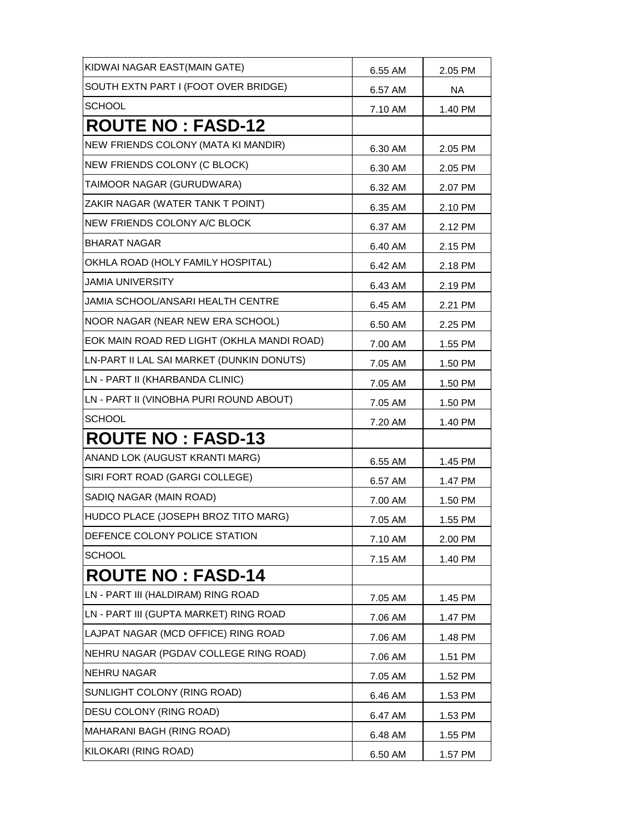| KIDWAI NAGAR EAST(MAIN GATE)               | 6.55 AM | 2.05 PM |
|--------------------------------------------|---------|---------|
| SOUTH EXTN PART I (FOOT OVER BRIDGE)       | 6.57 AM | NA.     |
| <b>SCHOOL</b>                              | 7.10 AM | 1.40 PM |
| <b>ROUTE NO: FASD-12</b>                   |         |         |
| NEW FRIENDS COLONY (MATA KI MANDIR)        | 6.30 AM | 2.05 PM |
| NEW FRIENDS COLONY (C BLOCK)               | 6.30 AM | 2.05 PM |
| TAIMOOR NAGAR (GURUDWARA)                  | 6.32 AM | 2.07 PM |
| ZAKIR NAGAR (WATER TANK T POINT)           | 6.35 AM | 2.10 PM |
| NEW FRIENDS COLONY A/C BLOCK               | 6.37 AM | 2.12 PM |
| <b>BHARAT NAGAR</b>                        | 6.40 AM | 2.15 PM |
| OKHLA ROAD (HOLY FAMILY HOSPITAL)          | 6.42 AM | 2.18 PM |
| <b>JAMIA UNIVERSITY</b>                    | 6.43 AM | 2.19 PM |
| <b>JAMIA SCHOOL/ANSARI HEALTH CENTRE</b>   | 6.45 AM | 2.21 PM |
| NOOR NAGAR (NEAR NEW ERA SCHOOL)           | 6.50 AM | 2.25 PM |
| EOK MAIN ROAD RED LIGHT (OKHLA MANDI ROAD) | 7.00 AM | 1.55 PM |
| LN-PART II LAL SAI MARKET (DUNKIN DONUTS)  | 7.05 AM | 1.50 PM |
| LN - PART II (KHARBANDA CLINIC)            | 7.05 AM | 1.50 PM |
| LN - PART II (VINOBHA PURI ROUND ABOUT)    | 7.05 AM | 1.50 PM |
| <b>SCHOOL</b>                              | 7.20 AM | 1.40 PM |
| <b>ROUTE NO: FASD-13</b>                   |         |         |
| ANAND LOK (AUGUST KRANTI MARG)             | 6.55 AM | 1.45 PM |
| SIRI FORT ROAD (GARGI COLLEGE)             | 6.57 AM | 1.47 PM |
| SADIQ NAGAR (MAIN ROAD)                    | 7.00 AM | 1.50 PM |
| HUDCO PLACE (JOSEPH BROZ TITO MARG)        | 7.05 AM | 1.55 PM |
| DEFENCE COLONY POLICE STATION              | 7.10 AM | 2.00 PM |
| <b>SCHOOL</b>                              | 7.15 AM | 1.40 PM |
| <b>ROUTE NO: FASD-14</b>                   |         |         |
| LN - PART III (HALDIRAM) RING ROAD         | 7.05 AM | 1.45 PM |
| LN - PART III (GUPTA MARKET) RING ROAD     | 7.06 AM | 1.47 PM |
| LAJPAT NAGAR (MCD OFFICE) RING ROAD        | 7.06 AM | 1.48 PM |
| NEHRU NAGAR (PGDAV COLLEGE RING ROAD)      | 7.06 AM | 1.51 PM |
| <b>NEHRU NAGAR</b>                         | 7.05 AM | 1.52 PM |
| SUNLIGHT COLONY (RING ROAD)                | 6.46 AM | 1.53 PM |
| DESU COLONY (RING ROAD)                    | 6.47 AM | 1.53 PM |
| MAHARANI BAGH (RING ROAD)                  | 6.48 AM | 1.55 PM |
| KILOKARI (RING ROAD)                       | 6.50 AM | 1.57 PM |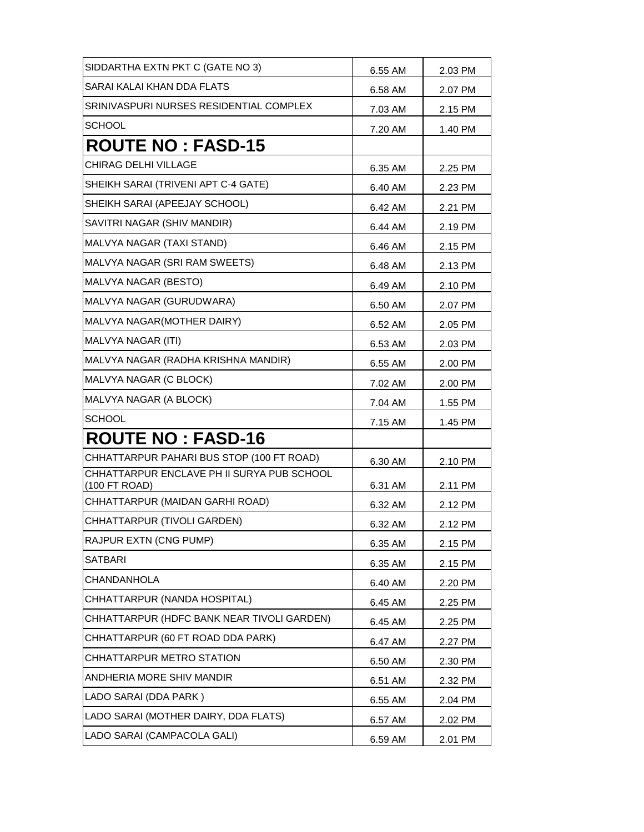| SIDDARTHA EXTN PKT C (GATE NO 3)                            | 6.55 AM | 2.03 PM |
|-------------------------------------------------------------|---------|---------|
| SARAI KALAI KHAN DDA FLATS                                  | 6.58 AM | 2.07 PM |
| SRINIVASPURI NURSES RESIDENTIAL COMPLEX                     | 7.03 AM | 2.15 PM |
| <b>SCHOOL</b>                                               | 7.20 AM | 1.40 PM |
| <b>ROUTE NO: FASD-15</b>                                    |         |         |
| CHIRAG DELHI VILLAGE                                        | 6.35 AM | 2.25 PM |
| SHEIKH SARAI (TRIVENI APT C-4 GATE)                         | 6.40 AM | 2.23 PM |
| SHEIKH SARAI (APEEJAY SCHOOL)                               | 6.42 AM | 2.21 PM |
| SAVITRI NAGAR (SHIV MANDIR)                                 | 6.44 AM | 2.19 PM |
| MALVYA NAGAR (TAXI STAND)                                   | 6.46 AM | 2.15 PM |
| MALVYA NAGAR (SRI RAM SWEETS)                               | 6.48 AM | 2.13 PM |
| MALVYA NAGAR (BESTO)                                        | 6.49 AM | 2.10 PM |
| MALVYA NAGAR (GURUDWARA)                                    | 6.50 AM | 2.07 PM |
| MALVYA NAGAR(MOTHER DAIRY)                                  | 6.52 AM | 2.05 PM |
| MALVYA NAGAR (ITI)                                          | 6.53 AM | 2.03 PM |
| MALVYA NAGAR (RADHA KRISHNA MANDIR)                         | 6.55 AM | 2.00 PM |
| MALVYA NAGAR (C BLOCK)                                      | 7.02 AM | 2.00 PM |
| MALVYA NAGAR (A BLOCK)                                      | 7.04 AM | 1.55 PM |
| <b>SCHOOL</b>                                               | 7.15 AM | 1.45 PM |
| <b>ROUTE NO: FASD-16</b>                                    |         |         |
| CHHATTARPUR PAHARI BUS STOP (100 FT ROAD)                   | 6.30 AM | 2.10 PM |
| CHHATTARPUR ENCLAVE PH II SURYA PUB SCHOOL<br>(100 FT ROAD) | 6.31 AM | 2.11 PM |
| CHHATTARPUR (MAIDAN GARHI ROAD)                             | 6.32 AM | 2.12 PM |
| CHHATTARPUR (TIVOLI GARDEN)                                 | 6.32 AM | 2.12 PM |
| RAJPUR EXTN (CNG PUMP)                                      | 6.35 AM | 2.15 PM |
| SATBARI                                                     | 6.35 AM | 2.15 PM |
| CHANDANHOLA                                                 | 6.40 AM | 2.20 PM |
| CHHATTARPUR (NANDA HOSPITAL)                                | 6.45 AM | 2.25 PM |
| CHHATTARPUR (HDFC BANK NEAR TIVOLI GARDEN)                  | 6.45 AM | 2.25 PM |
| CHHATTARPUR (60 FT ROAD DDA PARK)                           | 6.47 AM | 2.27 PM |
| CHHATTARPUR METRO STATION                                   | 6.50 AM | 2.30 PM |
| ANDHERIA MORE SHIV MANDIR                                   | 6.51 AM | 2.32 PM |
| LADO SARAI (DDA PARK)                                       | 6.55 AM | 2.04 PM |
| LADO SARAI (MOTHER DAIRY, DDA FLATS)                        | 6.57 AM | 2.02 PM |
| LADO SARAI (CAMPACOLA GALI)                                 | 6.59 AM | 2.01 PM |